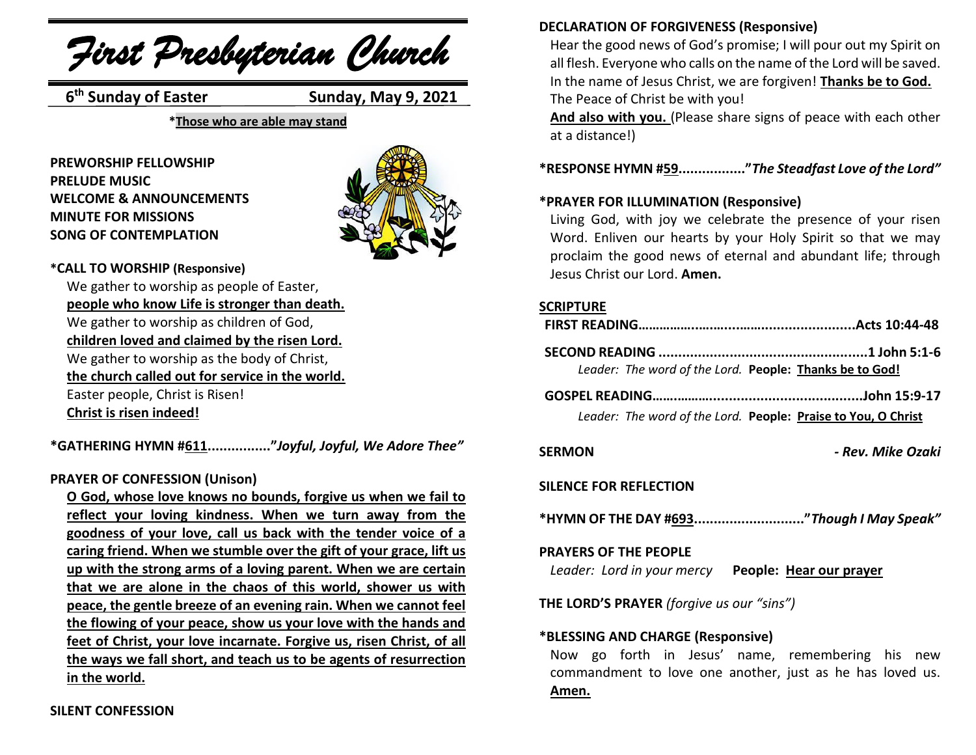*First Presbyterian Church*

**6<sup>th</sup> Sunday of Easter** 

**Sunday, May 9, 2021** 

**\*Those who are able may stand**

**PREWORSHIP FELLOWSHIP PRELUDE MUSIC WELCOME & ANNOUNCEMENTS MINUTE FOR MISSIONS SONG OF CONTEMPLATION** 



#### **\*CALL TO WORSHIP (Responsive)**

We gather to worship as people of Easter, **people who know Life is stronger than death.** We gather to worship as children of God, **children loved and claimed by the risen Lord.** We gather to worship as the body of Christ, **the church called out for service in the world.** Easter people, Christ is Risen! **Christ is risen indeed!**

**\*GATHERING HYMN #611................"***Joyful, Joyful, We Adore Thee"*

# **PRAYER OF CONFESSION (Unison)**

**O God, whose love knows no bounds, forgive us when we fail to reflect your loving kindness. When we turn away from the goodness of your love, call us back with the tender voice of a caring friend. When we stumble over the gift of your grace, lift us up with the strong arms of a loving parent. When we are certain that we are alone in the chaos of this world, shower us with peace, the gentle breeze of an evening rain. When we cannot feel the flowing of your peace, show us your love with the hands and feet of Christ, your love incarnate. Forgive us, risen Christ, of all the ways we fall short, and teach us to be agents of resurrection in the world.**

# **DECLARATION OF FORGIVENESS (Responsive)**

Hear the good news of God's promise; I will pour out my Spirit on all flesh. Everyone who calls on the name of the Lord will be saved. In the name of Jesus Christ, we are forgiven! **Thanks be to God.** The Peace of Christ be with you!

**And also with you.** (Please share signs of peace with each other at a distance!)

# **\*RESPONSE HYMN #59................."***The Steadfast Love of the Lord"*

### **\*PRAYER FOR ILLUMINATION (Responsive)**

Living God, with joy we celebrate the presence of your risen Word. Enliven our hearts by your Holy Spirit so that we may proclaim the good news of eternal and abundant life; through Jesus Christ our Lord. **Amen.**

# **SCRIPTURE**

| Leader: The word of the Lord. People: Thanks be to God!       |  |
|---------------------------------------------------------------|--|
|                                                               |  |
| Leader: The word of the Lord. People: Praise to You, O Christ |  |

**SERMON** *- Rev. Mike Ozaki*

#### **SILENCE FOR REFLECTION**

**\*HYMN OF THE DAY #693............................"***Though I May Speak"*

# **PRAYERS OF THE PEOPLE**

*Leader: Lord in your mercy* **People: Hear our prayer**

**THE LORD'S PRAYER** *(forgive us our "sins")* 

# **\*BLESSING AND CHARGE (Responsive)**

Now go forth in Jesus' name, remembering his new commandment to love one another, just as he has loved us. **Amen.**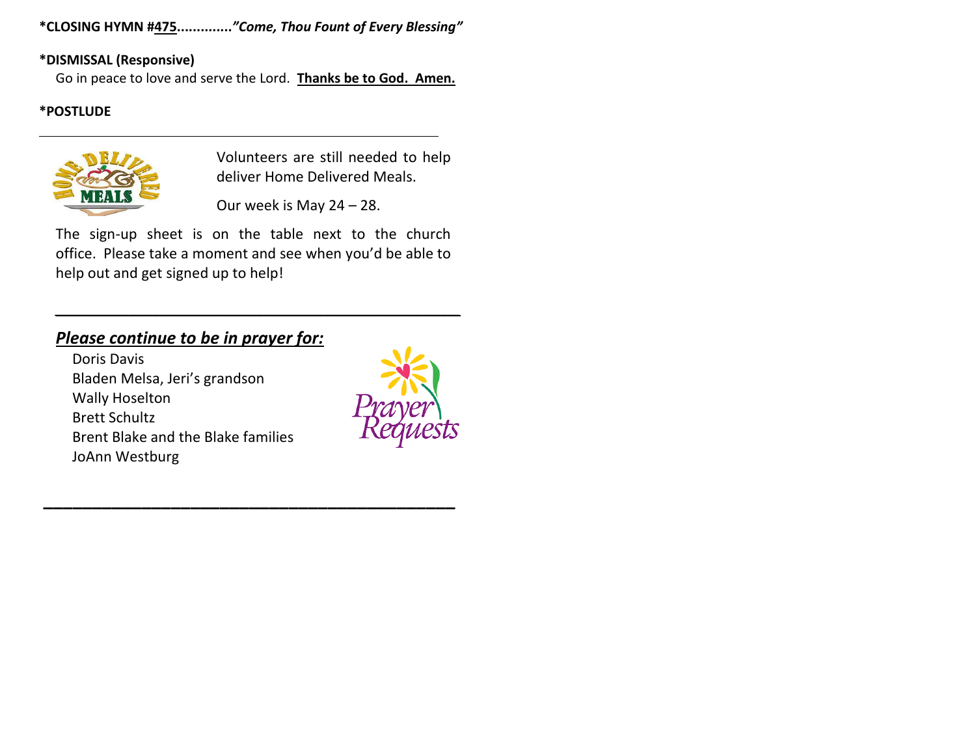**\*CLOSING HYMN #475..............***"Come, Thou Fount of Every Blessing"*

# **\*DISMISSAL (Responsive)**

Go in peace to love and serve the Lord. **Thanks be to God. Amen.**

# **\*POSTLUDE**



Volunteers are still needed to help deliver Home Delivered Meals.

Our week is May 24 – 28.

The sign-up sheet is on the table next to the church office. Please take a moment and see when you'd be able to help out and get signed up to help!

 $\mathcal{L} = \{ \mathcal{L} = \{ \mathcal{L} \} \cup \{ \mathcal{L} \} \cup \{ \mathcal{L} \} \cup \{ \mathcal{L} \} \cup \{ \mathcal{L} \} \cup \{ \mathcal{L} \} \cup \{ \mathcal{L} \} \cup \{ \mathcal{L} \} \cup \{ \mathcal{L} \} \cup \{ \mathcal{L} \} \cup \{ \mathcal{L} \} \cup \{ \mathcal{L} \} \cup \{ \mathcal{L} \} \cup \{ \mathcal{L} \} \cup \{ \mathcal{L} \} \cup \{ \mathcal{L} \} \cup \{ \mathcal{L} \} \cup$ 

**\_\_\_\_\_\_\_\_\_\_\_\_\_\_\_\_\_\_\_\_\_\_\_\_\_\_\_\_\_\_\_\_\_\_\_\_\_\_\_\_\_\_**

# *Please continue to be in prayer for:*

Doris Davis Bladen Melsa, Jeri's grandson Wally Hoselton Brett Schultz Brent Blake and the Blake families JoAnn Westburg

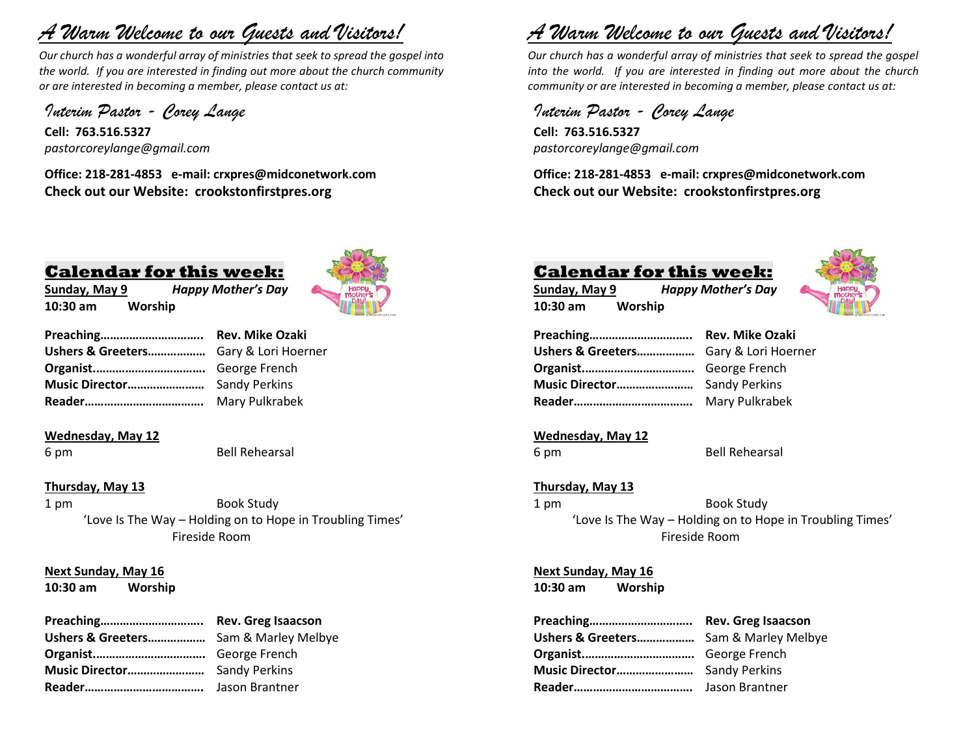# *A Warm Welcome to our Guests and Visitors!*

*Our church has a wonderful array of ministries that seek to spread the gospel into the world. If you are interested in finding out more about the church community or are interested in becoming a member, please contact us at:*

*Interim Pastor - Corey Lange* 

**Cell: 763.516.5327** *pastorcoreylange@gmail.com*

**Office: 218-281-4853 e-mail: crxpres@midconetwork.com Check out our Website: crookstonfirstpres.org**

# **Calendar for this week:**

**Sunday, May 9** *Happy Mother's Day* **10:30 am Worship**



| Ushers & Greeters Gary & Lori Hoerner |                |
|---------------------------------------|----------------|
|                                       |                |
|                                       |                |
|                                       | Mary Pulkrabek |

#### **Wednesday, May 12**

6 pm Bell Rehearsal

#### **Thursday, May 13**

1 pm Book Study 'Love Is The Way – Holding on to Hope in Troubling Times' Fireside Room

#### **Next Sunday, May 16**

**10:30 am Worship** 

| Ushers & Greeters Sam & Marley Melbye |  |
|---------------------------------------|--|
|                                       |  |
|                                       |  |
|                                       |  |

# *A Warm Welcome to our Guests and Visitors!*

*Our church has a wonderful array of ministries that seek to spread the gospel into the world. If you are interested in finding out more about the church community or are interested in becoming a member, please contact us at:*

*Interim Pastor - Corey Lange*  **Cell: 763.516.5327** *pastorcoreylange@gmail.com*

**Office: 218-281-4853 e-mail: crxpres@midconetwork.com Check out our Website: crookstonfirstpres.org**

# **Calendar for this week: Sunday, May 9** *Happy Mother's Day*



| Ushers & Greeters Gary & Lori Hoerner |                |
|---------------------------------------|----------------|
|                                       |                |
|                                       |                |
|                                       | Mary Pulkrabek |

# **Wednesday, May 12**

**10:30 am Worship**

6 pm Bell Rehearsal

#### **Thursday, May 13**

1 pm Book Study 'Love Is The Way – Holding on to Hope in Troubling Times' Fireside Room

**Next Sunday, May 16**

**10:30 am Worship**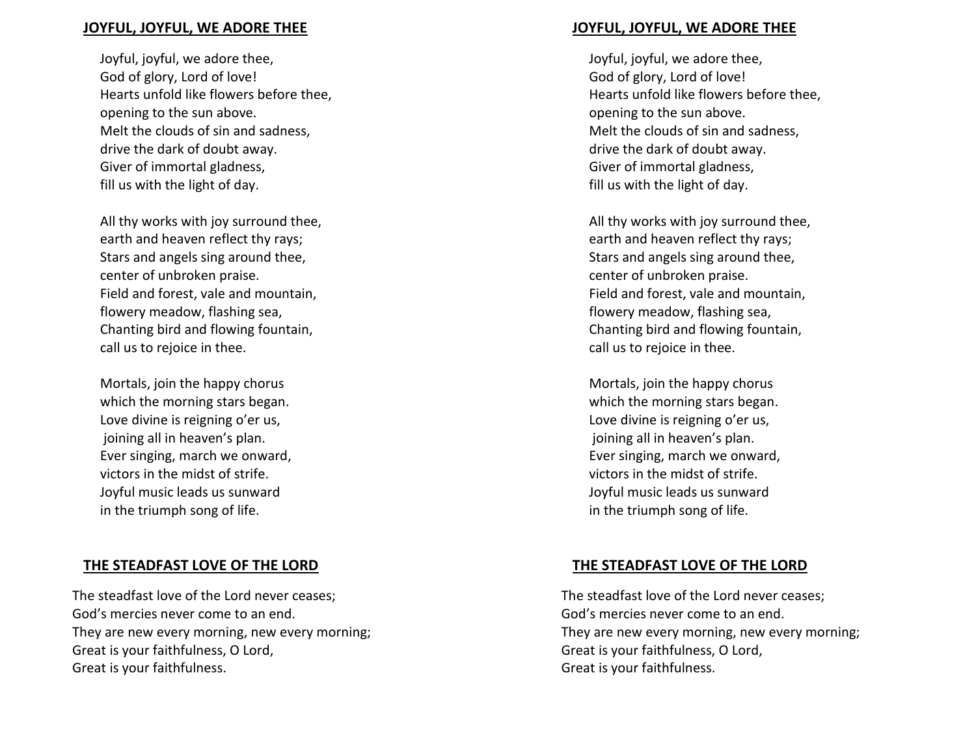#### **JOYFUL, JOYFUL, WE ADORE THEE**

Joyful, joyful, we adore thee, God of glory, Lord of love! Hearts unfold like flowers before thee, opening to the sun above. Melt the clouds of sin and sadness, drive the dark of doubt away. Giver of immortal gladness, fill us with the light of day.

All thy works with joy surround thee, earth and heaven reflect thy rays; Stars and angels sing around thee, center of unbroken praise. Field and forest, vale and mountain, flowery meadow, flashing sea, Chanting bird and flowing fountain, call us to rejoice in thee.

Mortals, join the happy chorus which the morning stars began. Love divine is reigning o'er us, joining all in heaven's plan. Ever singing, march we onward, victors in the midst of strife. Joyful music leads us sunward in the triumph song of life.

# **THE STEADFAST LOVE OF THE LORD**

The steadfast love of the Lord never ceases; God's mercies never come to an end. They are new every morning, new every morning; Great is your faithfulness, O Lord, Great is your faithfulness.

# **JOYFUL, JOYFUL, WE ADORE THEE**

Joyful, joyful, we adore thee, God of glory, Lord of love! Hearts unfold like flowers before thee, opening to the sun above. Melt the clouds of sin and sadness, drive the dark of doubt away. Giver of immortal gladness, fill us with the light of day.

All thy works with joy surround thee, earth and heaven reflect thy rays; Stars and angels sing around thee, center of unbroken praise. Field and forest, vale and mountain, flowery meadow, flashing sea, Chanting bird and flowing fountain, call us to rejoice in thee.

Mortals, join the happy chorus which the morning stars began. Love divine is reigning o'er us, joining all in heaven's plan. Ever singing, march we onward, victors in the midst of strife. Joyful music leads us sunward in the triumph song of life.

# **THE STEADFAST LOVE OF THE LORD**

The steadfast love of the Lord never ceases; God's mercies never come to an end. They are new every morning, new every morning; Great is your faithfulness, O Lord, Great is your faithfulness.